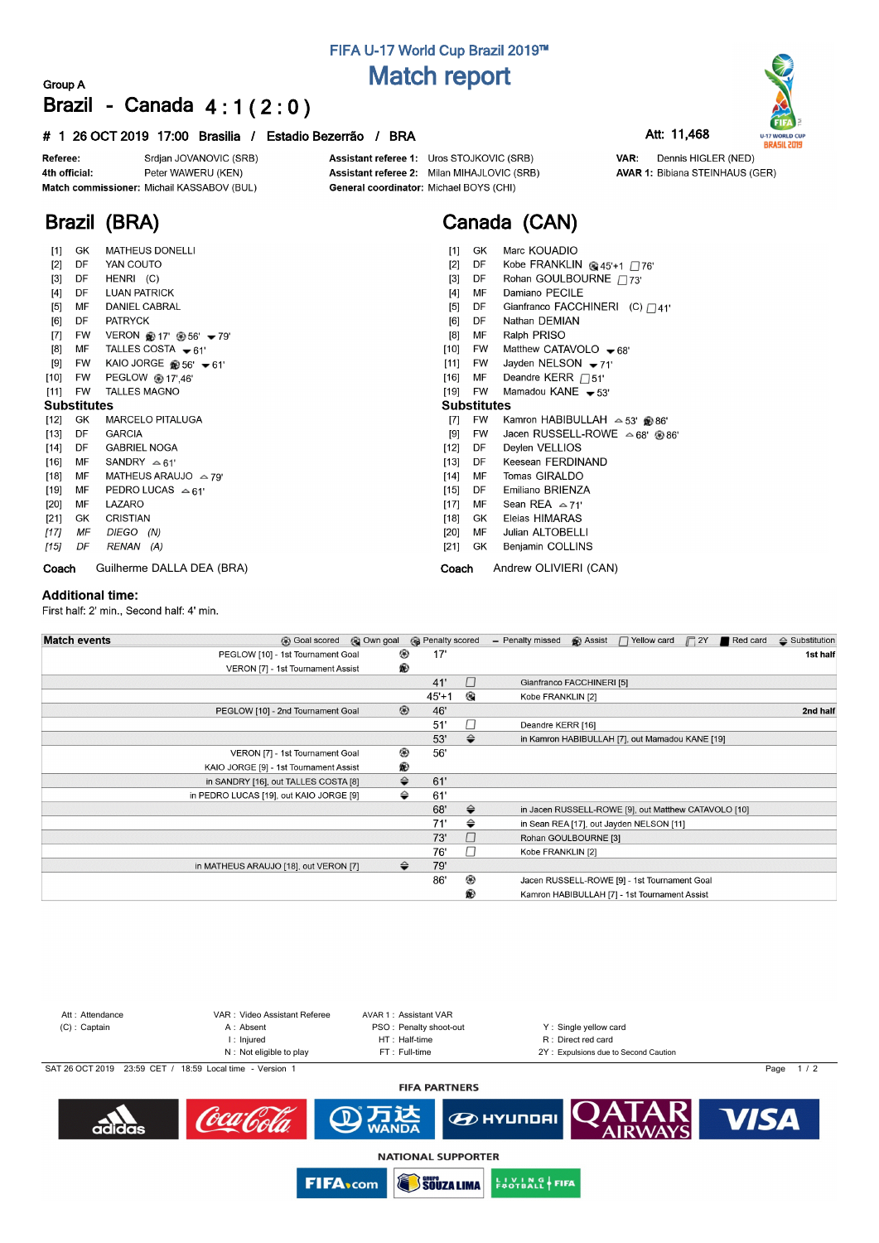# **FIFA U-17 World Cup Brazil 2019™ Match report**

### **Group A Brazil - Canada 4 : 1 ( 2 : 0 )**

### **# 1 26 OCT 2019 17:00 Brasilia / Estadio Bezerrão / BRA Att: 11,468**

Srdjan JOVANOVIC (SRB) Referee: Peter WAWERU (KEN) 4th official: Match commissioner: Michail KASSABOV (BUL)

**Brazil (BRA)**

Assistant referee 1: Uros STOJKOVIC (SRB) Assistant referee 2: Milan MIHAJLOVIC (SRB) General coordinator: Michael BOYS (CHI)

# **Canada (CAN)**

| $[1]$              | GK  | <b>MATHEUS DONELLI</b>                     | Marc KOUADIO<br>$[1]$<br>GK.                                 |
|--------------------|-----|--------------------------------------------|--------------------------------------------------------------|
| $[2]$              | DF  | YAN COUTO                                  | $[2]$<br>Kobe FRANKLIN @ $45'+1$ 76'<br>DF                   |
| $[3]$              | DF  | HENRI (C)                                  | Rohan GOULBOURNE / 73'<br>$[3]$<br>DF                        |
| $[4]$              | DF. | <b>LUAN PATRICK</b>                        | Damiano PECILE<br>[4]<br>MF                                  |
| $[5]$              | MF  | <b>DANIEL CABRAL</b>                       | $[5]$<br>Gianfranco FACCHINERI (C) $\Box$ 41'<br>DF          |
| [6]                | DF. | <b>PATRYCK</b>                             | Nathan DEMIAN<br>[6]<br>DF                                   |
| $[7]$              | FW  | VERON $*$ 17' $*$ 56' $\div$ 79'           | Ralph PRISO<br>[8]<br>MF                                     |
| $^{[8]}$           | MF  | TALLES COSTA $-61'$                        | [10]<br>Matthew CATAVOLO $-68'$<br>FW                        |
| [9]                | FW  | KAIO JORGE $\circledast$ 56' $\bullet$ 61' | Jayden NELSON $-71'$<br>[11]<br>FW                           |
| $[10]$             | FW  | PEGLOW @ 17',46'                           | Deandre KERR $\Box$ 51'<br>$[16]$<br>MF                      |
| $[11]$             | FW  | <b>TALLES MAGNO</b>                        | Mamadou KANE $-53'$<br>[19]<br>FW                            |
| <b>Substitutes</b> |     |                                            | <b>Substitutes</b>                                           |
| [12]               | GK  | <b>MARCELO PITALUGA</b>                    | FW<br>$[7]$<br>Kamron HABIBULLAH $\approx$ 53' @ 86'         |
| $[13]$             | DF. | <b>GARCIA</b>                              | Jacen RUSSELL-ROWE $\approx 68'$ @ 86'<br>$[9]$<br><b>FW</b> |
| $[14]$             | DF  | <b>GABRIEL NOGA</b>                        | [12]<br>Deylen VELLIOS<br>DF                                 |
| $[16]$             | MF  | SANDRY $\approx 61'$                       | Keesean FERDINAND<br>$[13]$<br>DF.                           |
| $[18]$             | МF  | MATHEUS ARAUJO $\approx$ 79'               | Tomas GIRALDO<br>МF<br>$[14]$                                |
| [19]               | МF  | PEDRO LUCAS $\approx 61'$                  | Emiliano BRIENZA<br>$[15]$<br>DF.                            |
| [20]               | MF  | LAZARO                                     | Sean REA $\approx$ 71'<br>$[17]$<br>MF                       |
| $[21]$             | GK  | <b>CRISTIAN</b>                            | Eleias HIMARAS<br>[18]<br>GK                                 |
| [17]               | ΜF  | DIEGO (N)                                  | Julian ALTOBELLI<br>$[20]$<br>MF                             |
| [15]               | DF  | RENAN (A)                                  | $[21]$<br>GK<br>Benjamin COLLINS                             |
| Coach              |     | Guilherme DALLA DEA (BRA)                  | Andrew OLIVIERI (CAN)<br>Coach                               |

#### **Additional time:**

First half: 2' min., Second half: 4' min.

| <b>Match events</b> | <b>B</b> Goal scored                    | © Own goal     | <b>B</b> Penalty scored |               | - Penalty missed          | Assist | □ Yellow card                                        | $\Box$ 2Y | Red card | $\triangle$ Substitution |
|---------------------|-----------------------------------------|----------------|-------------------------|---------------|---------------------------|--------|------------------------------------------------------|-----------|----------|--------------------------|
|                     | PEGLOW [10] - 1st Tournament Goal       | ⊛              | 17'                     |               |                           |        |                                                      |           |          | 1st half                 |
|                     | VERON [7] - 1st Tournament Assist       | ®              |                         |               |                           |        |                                                      |           |          |                          |
|                     |                                         |                | 41'                     | $\Box$        | Gianfranco FACCHINERI [5] |        |                                                      |           |          |                          |
|                     |                                         |                | $45+1$                  | ۰             | Kobe FRANKLIN [2]         |        |                                                      |           |          |                          |
|                     | PEGLOW [10] - 2nd Tournament Goal       | $^{\circledR}$ | 46'                     |               |                           |        |                                                      |           |          | 2nd half                 |
|                     |                                         |                | 51'                     | □             | Deandre KERR [16]         |        |                                                      |           |          |                          |
|                     |                                         |                | 53'                     | $\Rightarrow$ |                           |        | in Kamron HABIBULLAH [7], out Mamadou KANE [19]      |           |          |                          |
|                     | VERON [7] - 1st Tournament Goal         | ◉              | 56'                     |               |                           |        |                                                      |           |          |                          |
|                     | KAIO JORGE [9] - 1st Tournament Assist  | ®              |                         |               |                           |        |                                                      |           |          |                          |
|                     | in SANDRY [16], out TALLES COSTA [8]    | ⇔              | 61'                     |               |                           |        |                                                      |           |          |                          |
|                     | in PEDRO LUCAS [19], out KAIO JORGE [9] | ⇔              | 61'                     |               |                           |        |                                                      |           |          |                          |
|                     |                                         |                | 68'                     | $\Rightarrow$ |                           |        | in Jacen RUSSELL-ROWE [9], out Matthew CATAVOLO [10] |           |          |                          |
|                     |                                         |                | 71'                     | ⇔             |                           |        | in Sean REA [17], out Jayden NELSON [11]             |           |          |                          |
|                     |                                         |                | 73'                     | □             | Rohan GOULBOURNE [3]      |        |                                                      |           |          |                          |
|                     |                                         |                | 76'                     | П             | Kobe FRANKLIN [2]         |        |                                                      |           |          |                          |
|                     | in MATHEUS ARAUJO [18], out VERON [7]   | ⇔              | 79'                     |               |                           |        |                                                      |           |          |                          |
|                     |                                         |                | 86'                     | ◉             |                           |        | Jacen RUSSELL-ROWE [9] - 1st Tournament Goal         |           |          |                          |
|                     |                                         |                |                         | ⊛             |                           |        | Kamron HABIBULLAH [7] - 1st Tournament Assist        |           |          |                          |
|                     |                                         |                |                         |               |                           |        |                                                      |           |          |                          |





VAR: Dennis HIGLER (NED) **AVAR 1: Bibiana STEINHAUS (GER)**